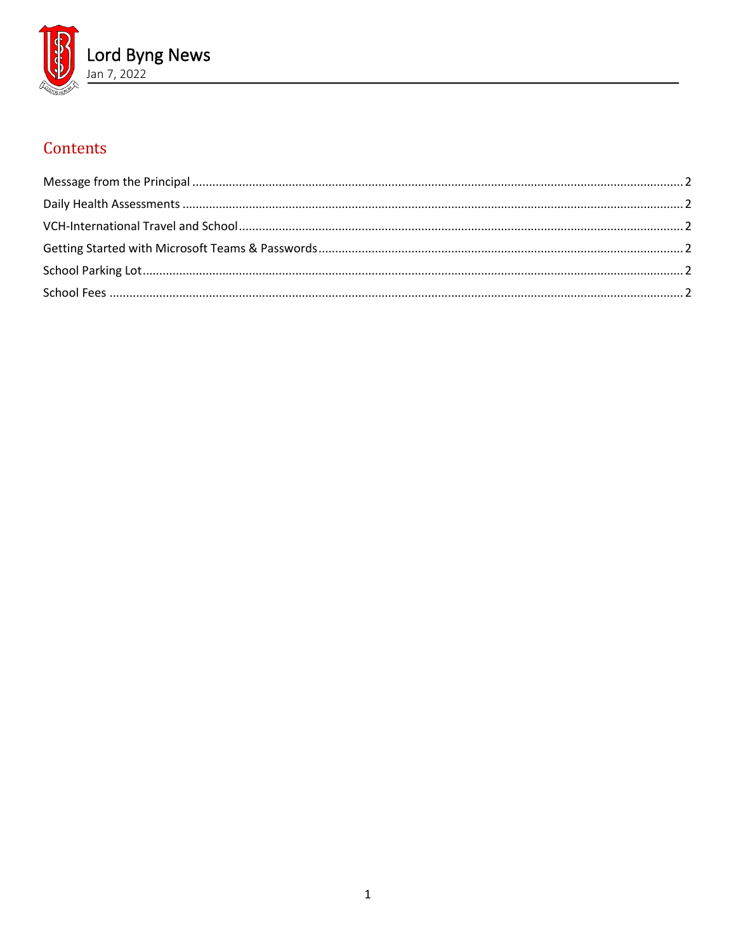

# Contents